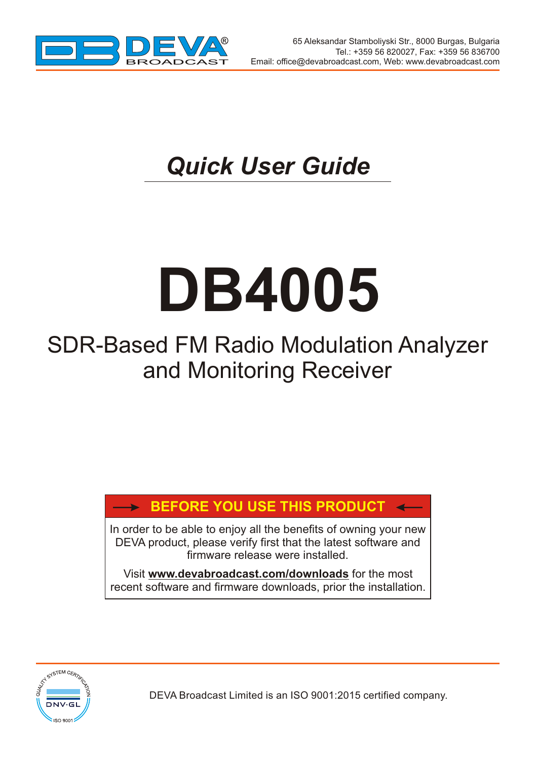

 $\overline{\phantom{a}}$ 

## *Quick User Guide*

# **DB4005**

### SDR-Based FM Radio Modulation Analyzer and Monitoring Receiver

#### **BEFORE YOU USE THIS PRODUCT**

In order to be able to enjoy all the benefits of owning your new DEVA product, please verify first that the latest software and firmware release were installed.

Visit **www.devabroadcast.com/downloads** for the most recent software and firmware downloads, prior the installation.



DEVA Broadcast Limited is an ISO 9001:2015 certified company.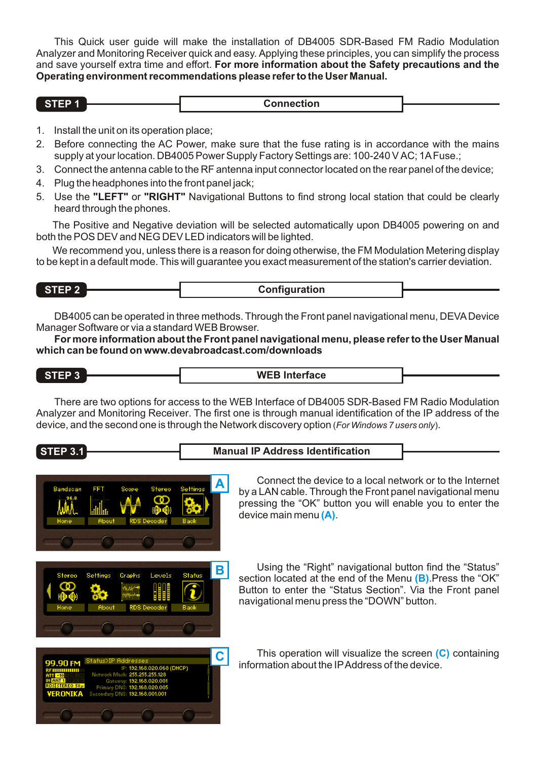This Quick user guide will make the installation of DB4005 SDR-Based FM Radio Modulation Analyzer and Monitoring Receiver quick and easy. Applying these principles, you can simplify the process and save yourself extra time and effort. **For more information about the Safety precautions and the Operating environment recommendations please refer to the User Manual.**

| - | .<br>ווטי<br>.<br>----------- |  |
|---|-------------------------------|--|
|   |                               |  |

- 1. Install the unit on its operation place;
- 2. Before connecting the AC Power, make sure that the fuse rating is in accordance with the mains supply at your location. DB4005 Power Supply Factory Settings are: 100-240 VAC; 1AFuse.;
- 3. Connect the antenna cable to the RF antenna input connector located on the rear panel of the device;
- 4. Plug the headphones into the front panel jack;
- 5. Use the **"LEFT"** or **"RIGHT"** Navigational Buttons to find strong local station that could be clearly heard through the phones.

The Positive and Negative deviation will be selected automatically upon DB4005 powering on and both the POS DEV and NEG DEV LED indicators will be lighted.

We recommend you, unless there is a reason for doing otherwise, the FM Modulation Metering display to be kept in a default mode. This will guarantee you exact measurement of the station's carrier deviation.

**STEP 2 Configuration** 

DB4005 can be operated in three methods. Through the Front panel navigational menu, DEVADevice Manager Software or via a standard WEB Browser.

**For more information about the Front panel navigational menu, please refer to the User Manual which can be found on www.devabroadcast.com/downloads**

**STEP 3 WEB Interface**

There are two options for access to the WEB Interface of DB4005 SDR-Based FM Radio Modulation Analyzer and Monitoring Receiver. The first one is through manual identification of the IP address of the device, and the second one is through the Network discovery option (*For Windows 7 users only*).

#### **STEP 3.1 Manual IP Address Identification**







Using the "Right" navigational button find the "Status" **B** Using the "Right" navigational button find the "Status" section located at the end of the Menu (B). Press the "OK" Button to enter the "Status Section". Via the Front panel navigational menu press the "DOWN" button.

**C** This operation will visualize the screen (C) containing intervals in the local state of the decision information about the IPAddress of the device.

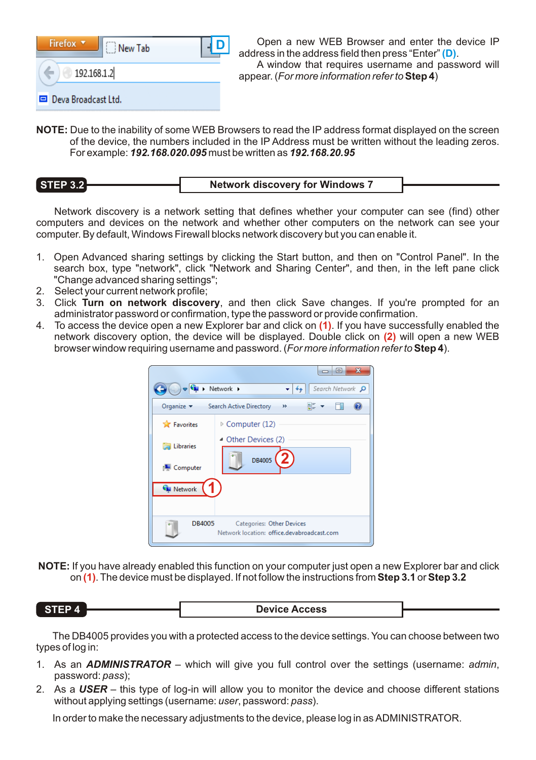| Firefox v           | New Tab |  |
|---------------------|---------|--|
| 192.168.1.2         |         |  |
| Deva Broadcast Ltd. |         |  |

Open a new WEB Browser and enter the device IP address in the address field then press "Enter" (**D**).

A window that requires username and password will appear. (*For more information refer to***Step 4**)

**NOTE:** Due to the inability of some WEB Browsers to read the IP address format displayed on the screen of the device, the numbers included in the IP Address must be written without the leading zeros. For example: *192.168.020.095* must be written as *192.168.20.95*

**STEP 3.2 Network discovery for Windows 7**

Network discovery is a network setting that defines whether your computer can see (find) other computers and devices on the network and whether other computers on the network can see your computer. By default, Windows Firewall blocks network discovery but you can enable it.

- 1. Open Advanced sharing settings by clicking the Start button, and then on "Control Panel". In the search box, type "network", click "Network and Sharing Center", and then, in the left pane click "Change advanced sharing settings";
- 2. Select your current network profile;

ĺ

- 3. Click **Turn on network discovery**, and then click Save changes. If you're prompted for an administrator password or confirmation, type the password or provide confirmation.
- 4. To access the device open a new Explorer bar and click on (1). If you have successfully enabled the network discovery option, the device will be displayed. Double click on (2) will open a new WEB browser window requiring username and password. (*For more information refer to***Step 4**).

|                                             | $\overline{\mathbf{x}}$<br>E<br>$\Box$<br>$\begin{array}{c} \bullet \end{array}$ > Network ><br>Search Network P<br>$+$ |
|---------------------------------------------|-------------------------------------------------------------------------------------------------------------------------|
| Organize $\blacktriangledown$               | 턃<br>Search Active Directory<br>$\rightarrow$                                                                           |
| <b>The Favorites</b>                        | $\triangleright$ Computer (12)                                                                                          |
| Libraries<br>Computer                       | ▲ Other Devices (2)<br>DB4005                                                                                           |
| <b>G</b> Network<br><b>DB4005</b><br>$\sim$ | <b>Categories: Other Devices</b><br>Network location: office.devabroadcast.com                                          |

**NOTE:** If you have already enabled this function on your computer just open a new Explorer bar and click on **(1)**. The device must be displayed. If not follow the instructions from **Step 3.1** or **Step 3.2**

| STEP 4<br><b>Device Access</b> |  |
|--------------------------------|--|
|--------------------------------|--|

The DB4005 provides you with a protected access to the device settings. You can choose between two types of log in:

- 1. As an *ADMINISTRATOR* which will give you full control over the settings (username: *admin*, password: *pass*);
- 2. As a *USER* this type of log-in will allow you to monitor the device and choose different stations without applying settings (username: *user*, password: *pass*).

In order to make the necessary adjustments to the device, please log in as ADMINISTRATOR.